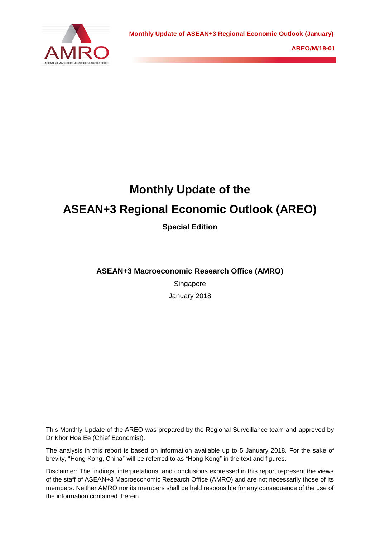

# **Monthly Update of the ASEAN+3 Regional Economic Outlook (AREO)**

**Special Edition**

**ASEAN+3 Macroeconomic Research Office (AMRO)**

Singapore January 2018

This Monthly Update of the AREO was prepared by the Regional Surveillance team and approved by Dr Khor Hoe Ee (Chief Economist).

The analysis in this report is based on information available up to 5 January 2018. For the sake of brevity, "Hong Kong, China" will be referred to as "Hong Kong" in the text and figures.

Disclaimer: The findings, interpretations, and conclusions expressed in this report represent the views of the staff of ASEAN+3 Macroeconomic Research Office (AMRO) and are not necessarily those of its members. Neither AMRO nor its members shall be held responsible for any consequence of the use of the information contained therein.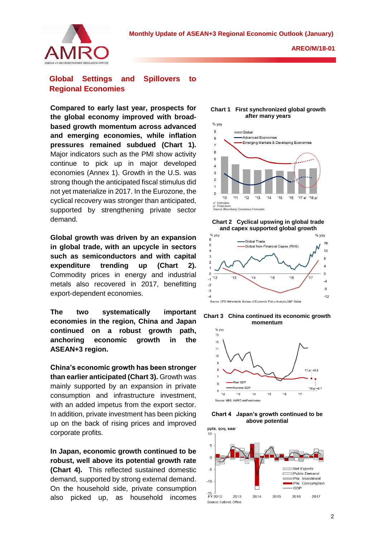

# **Global Settings and Spillovers to Regional Economies**

**Compared to early last year, prospects for the global economy improved with broadbased growth momentum across advanced and emerging economies, while inflation pressures remained subdued (Chart 1).**  Major indicators such as the PMI show activity continue to pick up in major developed economies (Annex 1). Growth in the U.S. was strong though the anticipated fiscal stimulus did not yet materialize in 2017. In the Eurozone, the cyclical recovery was stronger than anticipated, supported by strengthening private sector demand.

**Global growth was driven by an expansion in global trade, with an upcycle in sectors such as semiconductors and with capital expenditure trending up (Chart 2).** Commodity prices in energy and industrial metals also recovered in 2017, benefitting export-dependent economies.

**The two systematically important economies in the region, China and Japan continued on a robust growth path, anchoring economic growth in the ASEAN+3 region.**

**China's economic growth has been stronger than earlier anticipated (Chart 3).** Growth was mainly supported by an expansion in private consumption and infrastructure investment, with an added impetus from the export sector. In addition, private investment has been picking up on the back of rising prices and improved corporate profits.

**In Japan, economic growth continued to be robust, well above its potential growth rate (Chart 4).** This reflected sustained domestic demand, supported by strong external demand. On the household side, private consumption also picked up, as household incomes

#### **Chart 1 First synchronized global growth after many years**











**Chart 4 Japan's growth continued to be above potential**

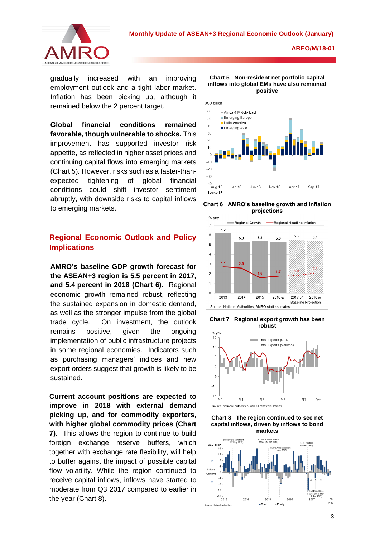

gradually increased with an improving employment outlook and a tight labor market. Inflation has been picking up, although it remained below the 2 percent target.

**Global financial conditions remained favorable, though vulnerable to shocks.** This improvement has supported investor risk appetite, as reflected in higher asset prices and continuing capital flows into emerging markets (Chart 5). However, risks such as a faster-thanexpected tightening of global financial conditions could shift investor sentiment abruptly, with downside risks to capital inflows to emerging markets.

# **Regional Economic Outlook and Policy Implications**

**AMRO's baseline GDP growth forecast for the ASEAN+3 region is 5.5 percent in 2017, and 5.4 percent in 2018 (Chart 6).** Regional economic growth remained robust, reflecting the sustained expansion in domestic demand, as well as the stronger impulse from the global trade cycle. On investment, the outlook remains positive, given the ongoing implementation of public infrastructure projects in some regional economies. Indicators such as purchasing managers' indices and new export orders suggest that growth is likely to be sustained.

**Current account positions are expected to improve in 2018 with external demand picking up, and for commodity exporters, with higher global commodity prices (Chart 7).** This allows the region to continue to build foreign exchange reserve buffers, which together with exchange rate flexibility, will help to buffer against the impact of possible capital flow volatility. While the region continued to receive capital inflows, inflows have started to moderate from Q3 2017 compared to earlier in the year (Chart 8).



**Chart 5 Non-resident net portfolio capital inflows into global EMs have also remained** 











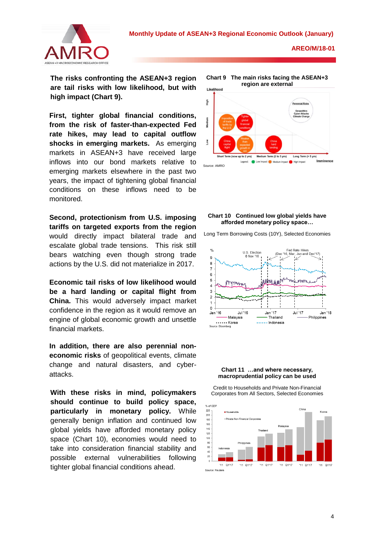

**The risks confronting the ASEAN+3 region are tail risks with low likelihood, but with high impact (Chart 9).** 

**First, tighter global financial conditions, from the risk of faster-than-expected Fed rate hikes, may lead to capital outflow shocks in emerging markets.** As emerging markets in ASEAN+3 have received large inflows into our bond markets relative to emerging markets elsewhere in the past two years, the impact of tightening global financial conditions on these inflows need to be monitored.

**Second, protectionism from U.S. imposing tariffs on targeted exports from the region** would directly impact bilateral trade and escalate global trade tensions. This risk still bears watching even though strong trade actions by the U.S. did not materialize in 2017.

**Economic tail risks of low likelihood would be a hard landing or capital flight from China.** This would adversely impact market confidence in the region as it would remove an engine of global economic growth and unsettle financial markets.

**In addition, there are also perennial noneconomic risks** of geopolitical events, climate change and natural disasters, and cyberattacks.

**With these risks in mind, policymakers should continue to build policy space, particularly in monetary policy.** While generally benign inflation and continued low global yields have afforded monetary policy space (Chart 10), economies would need to take into consideration financial stability and possible external vulnerabilities following tighter global financial conditions ahead.



## **Chart 10 Continued low global yields have afforded monetary policy space…**

Long Term Borrowing Costs (10Y), Selected Economies



#### **Chart 11 …and where necessary, macroprudential policy can be used**

Credit to Households and Private Non-Financial Corporates from All Sectors, Selected Economies

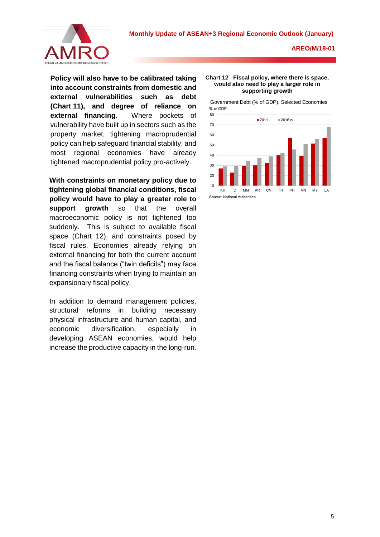

**Policy will also have to be calibrated taking into account constraints from domestic and external vulnerabilities such as debt (Chart 11), and degree of reliance on external financing**. Where pockets of vulnerability have built up in sectors such as the property market, tightening macroprudential policy can help safeguard financial stability, and most regional economies have already tightened macroprudential policy pro-actively.

**With constraints on monetary policy due to tightening global financial conditions, fiscal policy would have to play a greater role to support growth** so that the overall macroeconomic policy is not tightened too suddenly. This is subject to available fiscal space (Chart 12), and constraints posed by fiscal rules. Economies already relying on external financing for both the current account and the fiscal balance ("twin deficits") may face financing constraints when trying to maintain an expansionary fiscal policy.

In addition to demand management policies, structural reforms in building necessary physical infrastructure and human capital, and economic diversification, especially in developing ASEAN economies, would help increase the productive capacity in the long-run.

#### **Chart 12 Fiscal policy, where there is space, would also need to play a larger role in supporting growth**

Government Debt (% of GDP), Selected Economies% of GDE

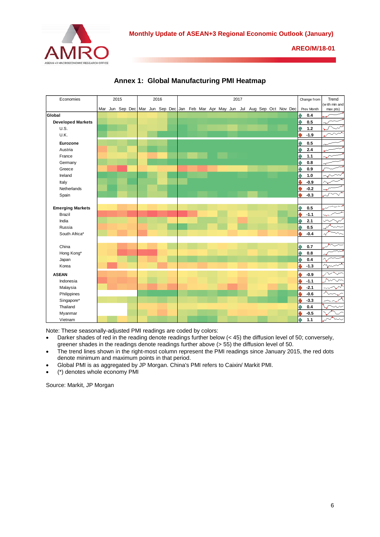



**Annex 1: Global Manufacturing PMI Heatmap**

Note: These seasonally-adjusted PMI readings are coded by colors:

- Darker shades of red in the reading denote readings further below (< 45) the diffusion level of 50; conversely, greener shades in the readings denote readings further above (> 55) the diffusion level of 50.
- The trend lines shown in the right-most column represent the PMI readings since January 2015, the red dots denote minimum and maximum points in that period.
- Global PMI is as aggregated by JP Morgan. China's PMI refers to Caixin/ Markit PMI.
- (\*) denotes whole economy PMI

Source: Markit, JP Morgan